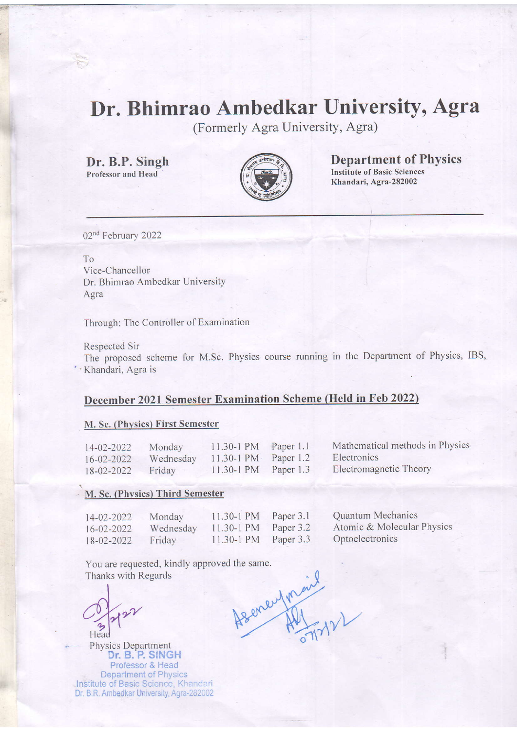# Dr. Bhimrao Ambedkar University, Agra

(Formerly Agra University, Agra)

Dr. B.P. Singh

 $\cdot$   $\cdot$ 



Professor and Head  $\left(\frac{1}{\beta}\sqrt{\beta-1}\right)^2$  Institute of Basic Sciences Khandari, Agra-282002 Department of Physics

02<sup>nd</sup> February 2022

To Vice-Chancellor Dr. Bhimrao Ambedkar University Agra

Through: The Controller of Examination

Respected Sir

The proposed scheme for M.Sc. Physics course running in the Department of Physics, IBS, ' ' Khandari, Agra is

### December 2021 Semester Examination Scheme (Held in Feb 2022)

#### M. Sc. (Physics) First Semester

14-02-2022 Monday 16-02-2022 Wednesday<br>18-02-2022 Friday  $18 - 02 - 2022$ 

Paper 1.1 Paper 1.2 Paper 1.3 11.30-1 PM  $11.30 - 1$  PM 11.30-1 PM

- Mathematical methods in Physics Electronics
- Electromagnetic Theory

#### M. Sc. (Phvsics) Third Semester

14-02-2022 Monday 16-02-2022 Wednesday<br>18-02-2022 Friday  $18 - 02 - 2022$ 

11.30-1 PM 11.30-1 PM 11.30-1 PM Paper 3.1 Paper 3.2 Paper 3.3 Quantum Mechanics Atomic & Molecular Physics Optoelectronics

You are requested, kindly approved the same. Thanks with Regards Asene for sil

Head

Physics Department Dr. B. P. SINGH Professor & Head **Department of Physics** Institute of Basic Science, Khandari Dr. B.R. Ambedkar University, Agra-282002